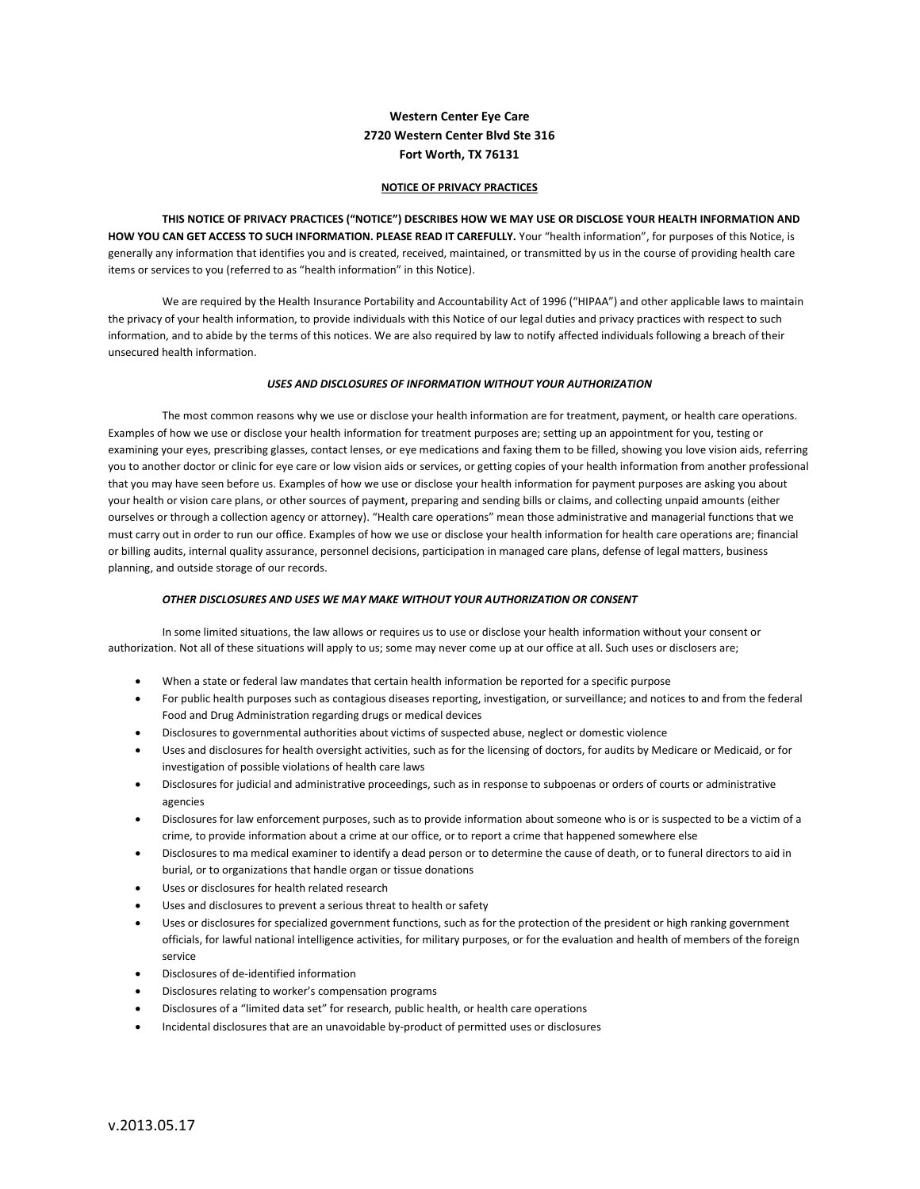# Western Center Eye Care 2720 Western Center Blvd Ste 316 Fort Worth, TX 76131

## NOTICE OF PRIVACY PRACTICES

 THIS NOTICE OF PRIVACY PRACTICES ("NOTICE") DESCRIBES HOW WE MAY USE OR DISCLOSE YOUR HEALTH INFORMATION AND HOW YOU CAN GET ACCESS TO SUCH INFORMATION. PLEASE READ IT CAREFULLY. Your "health information", for purposes of this Notice, is generally any information that identifies you and is created, received, maintained, or transmitted by us in the course of providing health care items or services to you (referred to as "health information" in this Notice).

 We are required by the Health Insurance Portability and Accountability Act of 1996 ("HIPAA") and other applicable laws to maintain the privacy of your health information, to provide individuals with this Notice of our legal duties and privacy practices with respect to such information, and to abide by the terms of this notices. We are also required by law to notify affected individuals following a breach of their unsecured health information.

#### USES AND DISCLOSURES OF INFORMATION WITHOUT YOUR AUTHORIZATION

 The most common reasons why we use or disclose your health information are for treatment, payment, or health care operations. Examples of how we use or disclose your health information for treatment purposes are; setting up an appointment for you, testing or examining your eyes, prescribing glasses, contact lenses, or eye medications and faxing them to be filled, showing you love vision aids, referring you to another doctor or clinic for eye care or low vision aids or services, or getting copies of your health information from another professional that you may have seen before us. Examples of how we use or disclose your health information for payment purposes are asking you about your health or vision care plans, or other sources of payment, preparing and sending bills or claims, and collecting unpaid amounts (either ourselves or through a collection agency or attorney). "Health care operations" mean those administrative and managerial functions that we must carry out in order to run our office. Examples of how we use or disclose your health information for health care operations are; financial or billing audits, internal quality assurance, personnel decisions, participation in managed care plans, defense of legal matters, business planning, and outside storage of our records.

#### OTHER DISCLOSURES AND USES WE MAY MAKE WITHOUT YOUR AUTHORIZATION OR CONSENT

In some limited situations, the law allows or requires us to use or disclose your health information without your consent or authorization. Not all of these situations will apply to us; some may never come up at our office at all. Such uses or disclosers are;

- When a state or federal law mandates that certain health information be reported for a specific purpose
- For public health purposes such as contagious diseases reporting, investigation, or surveillance; and notices to and from the federal Food and Drug Administration regarding drugs or medical devices
- Disclosures to governmental authorities about victims of suspected abuse, neglect or domestic violence
- Uses and disclosures for health oversight activities, such as for the licensing of doctors, for audits by Medicare or Medicaid, or for investigation of possible violations of health care laws
- Disclosures for judicial and administrative proceedings, such as in response to subpoenas or orders of courts or administrative agencies
- Disclosures for law enforcement purposes, such as to provide information about someone who is or is suspected to be a victim of a crime, to provide information about a crime at our office, or to report a crime that happened somewhere else
- Disclosures to ma medical examiner to identify a dead person or to determine the cause of death, or to funeral directors to aid in burial, or to organizations that handle organ or tissue donations
- Uses or disclosures for health related research
- Uses and disclosures to prevent a serious threat to health or safety
- Uses or disclosures for specialized government functions, such as for the protection of the president or high ranking government officials, for lawful national intelligence activities, for military purposes, or for the evaluation and health of members of the foreign service
- Disclosures of de-identified information
- Disclosures relating to worker's compensation programs
- Disclosures of a "limited data set" for research, public health, or health care operations
- Incidental disclosures that are an unavoidable by-product of permitted uses or disclosures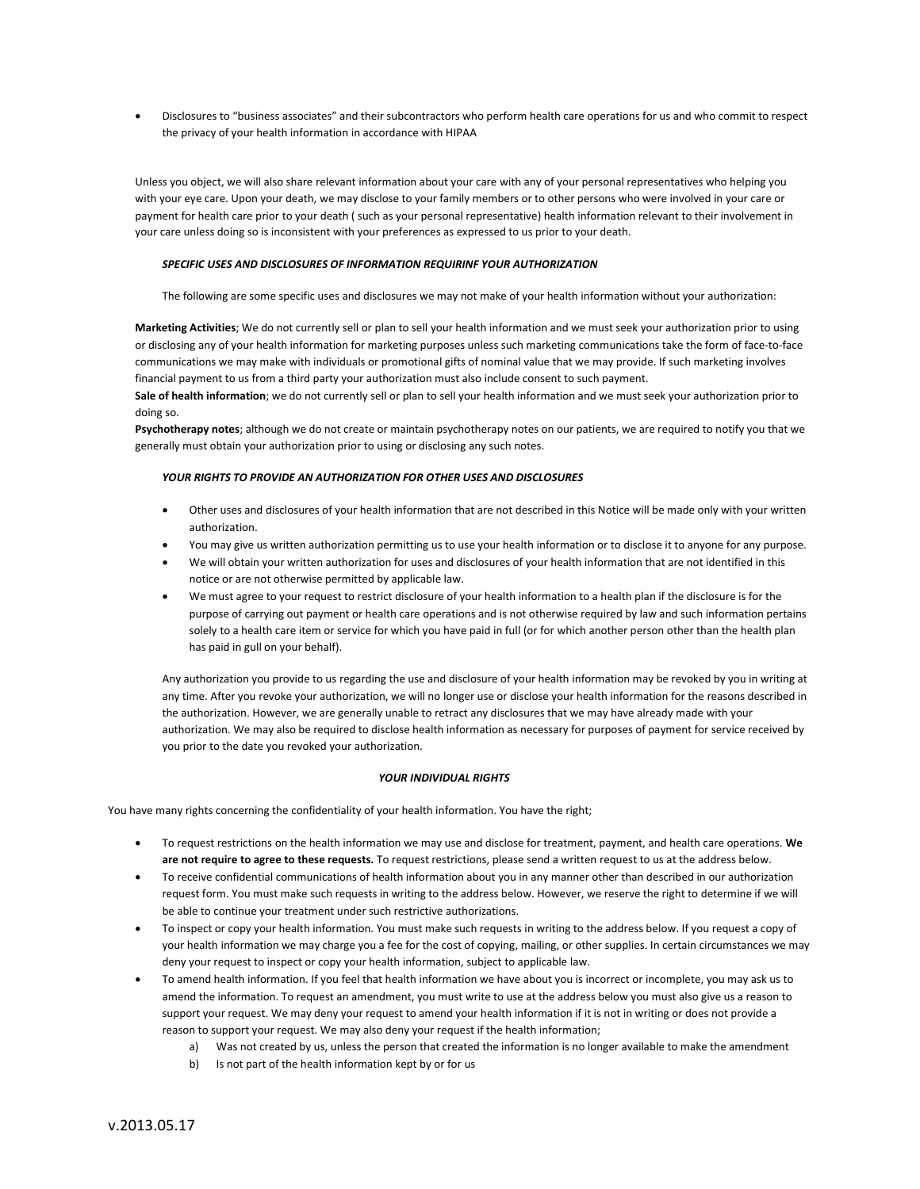Disclosures to "business associates" and their subcontractors who perform health care operations for us and who commit to respect the privacy of your health information in accordance with HIPAA

Unless you object, we will also share relevant information about your care with any of your personal representatives who helping you with your eye care. Upon your death, we may disclose to your family members or to other persons who were involved in your care or payment for health care prior to your death ( such as your personal representative) health information relevant to their involvement in your care unless doing so is inconsistent with your preferences as expressed to us prior to your death.

#### SPECIFIC USES AND DISCLOSURES OF INFORMATION REQUIRINF YOUR AUTHORIZATION

The following are some specific uses and disclosures we may not make of your health information without your authorization:

Marketing Activities; We do not currently sell or plan to sell your health information and we must seek your authorization prior to using or disclosing any of your health information for marketing purposes unless such marketing communications take the form of face-to-face communications we may make with individuals or promotional gifts of nominal value that we may provide. If such marketing involves financial payment to us from a third party your authorization must also include consent to such payment.

Sale of health information; we do not currently sell or plan to sell your health information and we must seek your authorization prior to doing so.

Psychotherapy notes; although we do not create or maintain psychotherapy notes on our patients, we are required to notify you that we generally must obtain your authorization prior to using or disclosing any such notes.

## YOUR RIGHTS TO PROVIDE AN AUTHORIZATION FOR OTHER USES AND DISCLOSURES

- Other uses and disclosures of your health information that are not described in this Notice will be made only with your written authorization.
- You may give us written authorization permitting us to use your health information or to disclose it to anyone for any purpose.
- We will obtain your written authorization for uses and disclosures of your health information that are not identified in this notice or are not otherwise permitted by applicable law.
- We must agree to your request to restrict disclosure of your health information to a health plan if the disclosure is for the purpose of carrying out payment or health care operations and is not otherwise required by law and such information pertains solely to a health care item or service for which you have paid in full (or for which another person other than the health plan has paid in gull on your behalf).

Any authorization you provide to us regarding the use and disclosure of your health information may be revoked by you in writing at any time. After you revoke your authorization, we will no longer use or disclose your health information for the reasons described in the authorization. However, we are generally unable to retract any disclosures that we may have already made with your authorization. We may also be required to disclose health information as necessary for purposes of payment for service received by you prior to the date you revoked your authorization.

#### YOUR INDIVIDUAL RIGHTS

You have many rights concerning the confidentiality of your health information. You have the right;

- To request restrictions on the health information we may use and disclose for treatment, payment, and health care operations. We are not require to agree to these requests. To request restrictions, please send a written request to us at the address below.
- To receive confidential communications of health information about you in any manner other than described in our authorization request form. You must make such requests in writing to the address below. However, we reserve the right to determine if we will be able to continue your treatment under such restrictive authorizations.
- To inspect or copy your health information. You must make such requests in writing to the address below. If you request a copy of your health information we may charge you a fee for the cost of copying, mailing, or other supplies. In certain circumstances we may deny your request to inspect or copy your health information, subject to applicable law.
- To amend health information. If you feel that health information we have about you is incorrect or incomplete, you may ask us to amend the information. To request an amendment, you must write to use at the address below you must also give us a reason to support your request. We may deny your request to amend your health information if it is not in writing or does not provide a reason to support your request. We may also deny your request if the health information;
	- a) Was not created by us, unless the person that created the information is no longer available to make the amendment
	- b) Is not part of the health information kept by or for us